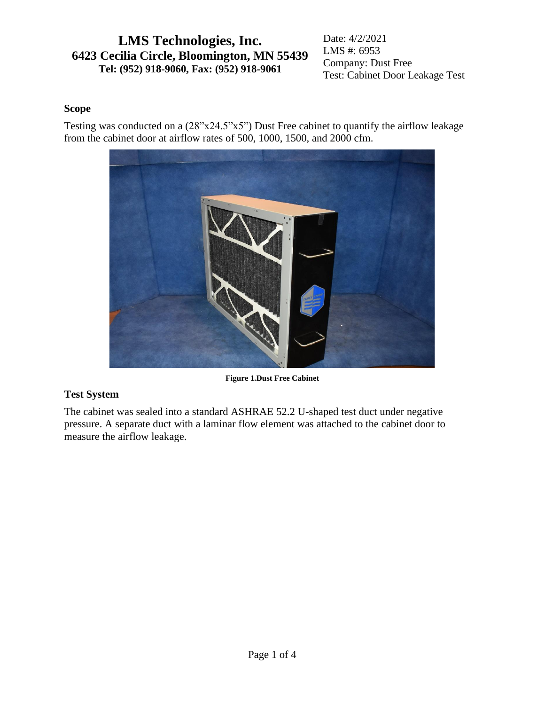Date: 4/2/2021 LMS #: 6953 Company: Dust Free Test: Cabinet Door Leakage Test

### **Scope**

Testing was conducted on a (28"x24.5"x5") Dust Free cabinet to quantify the airflow leakage from the cabinet door at airflow rates of 500, 1000, 1500, and 2000 cfm.



**Figure 1.Dust Free Cabinet**

## **Test System**

The cabinet was sealed into a standard ASHRAE 52.2 U-shaped test duct under negative pressure. A separate duct with a laminar flow element was attached to the cabinet door to measure the airflow leakage.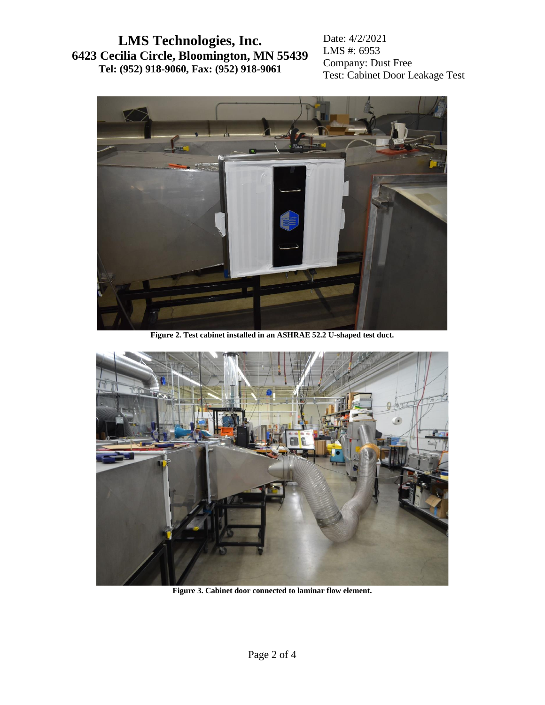Date: 4/2/2021 LMS #: 6953 Company: Dust Free Test: Cabinet Door Leakage Test



**Figure 2. Test cabinet installed in an ASHRAE 52.2 U-shaped test duct.**



**Figure 3. Cabinet door connected to laminar flow element.**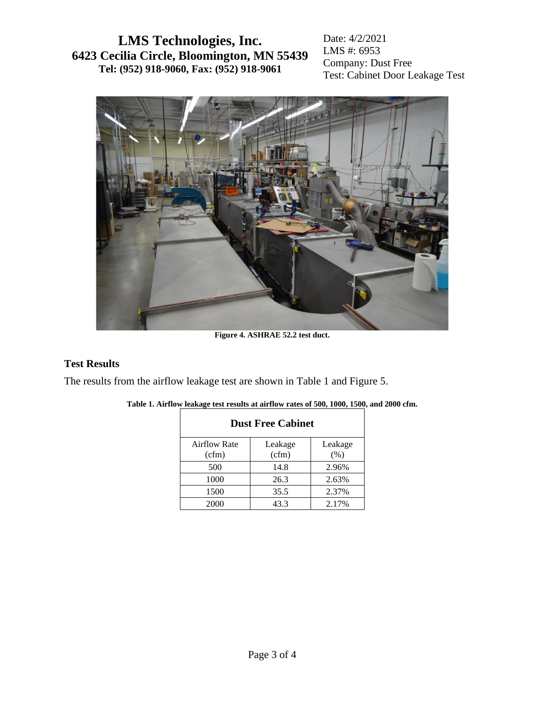Date: 4/2/2021 LMS #: 6953 Company: Dust Free Test: Cabinet Door Leakage Test



**Figure 4. ASHRAE 52.2 test duct.**

#### **Test Results**

<span id="page-2-0"></span>The results from the airflow leakage test are shown in [Table 1](#page-2-0) and [Figure 5.](#page-3-0)

| <b>Dust Free Cabinet</b> |                  |                 |  |  |
|--------------------------|------------------|-----------------|--|--|
| Airflow Rate<br>(cfm)    | Leakage<br>(cfm) | Leakage<br>(% ) |  |  |
| 500                      | 14.8             | 2.96%           |  |  |
| 1000                     | 26.3             | 2.63%           |  |  |
| 1500                     | 35.5             | 2.37%           |  |  |
| 2000                     | 43.3             | 2.17%           |  |  |

| Table 1. Airflow leakage test results at airflow rates of 500, 1000, 1500, and 2000 cfm. |  |  |
|------------------------------------------------------------------------------------------|--|--|
|                                                                                          |  |  |